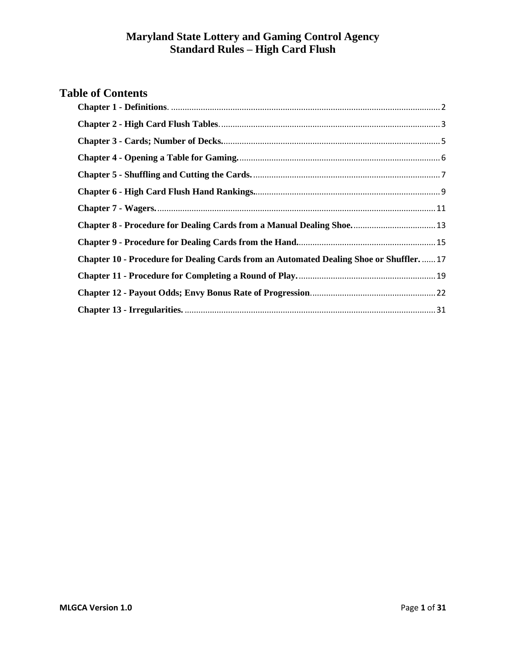# **Table of Contents**

| Chapter 8 - Procedure for Dealing Cards from a Manual Dealing Shoe 13                 |
|---------------------------------------------------------------------------------------|
|                                                                                       |
| Chapter 10 - Procedure for Dealing Cards from an Automated Dealing Shoe or Shuffler17 |
|                                                                                       |
|                                                                                       |
|                                                                                       |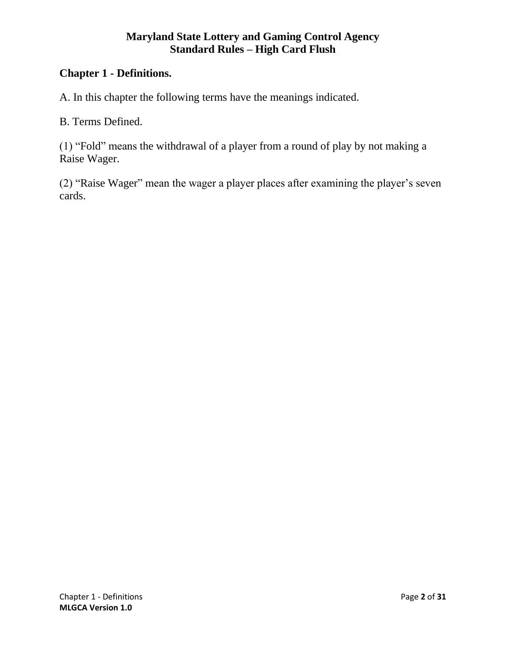# <span id="page-1-0"></span>**Chapter 1 - Definitions.**

A. In this chapter the following terms have the meanings indicated.

B. Terms Defined.

(1) "Fold" means the withdrawal of a player from a round of play by not making a Raise Wager.

(2) "Raise Wager" mean the wager a player places after examining the player's seven cards.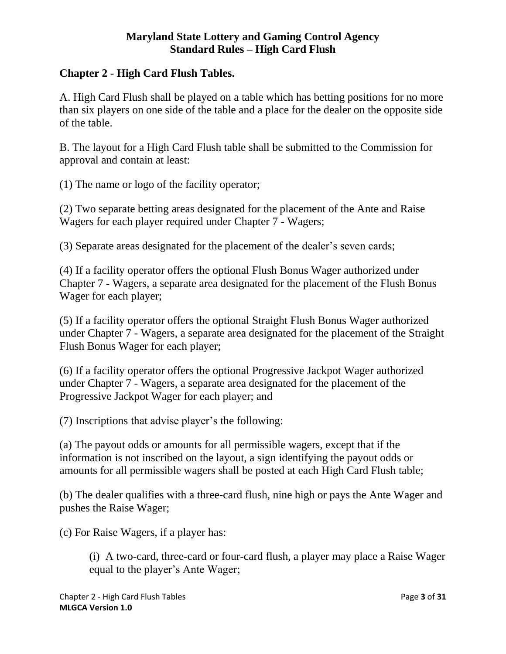# <span id="page-2-0"></span>**Chapter 2 - High Card Flush Tables.**

A. High Card Flush shall be played on a table which has betting positions for no more than six players on one side of the table and a place for the dealer on the opposite side of the table.

B. The layout for a High Card Flush table shall be submitted to the Commission for approval and contain at least:

(1) The name or logo of the facility operator;

(2) Two separate betting areas designated for the placement of the Ante and Raise Wagers for each player required under Chapter 7 - Wagers;

(3) Separate areas designated for the placement of the dealer's seven cards;

(4) If a facility operator offers the optional Flush Bonus Wager authorized under Chapter 7 - Wagers, a separate area designated for the placement of the Flush Bonus Wager for each player;

(5) If a facility operator offers the optional Straight Flush Bonus Wager authorized under Chapter 7 - Wagers, a separate area designated for the placement of the Straight Flush Bonus Wager for each player;

(6) If a facility operator offers the optional Progressive Jackpot Wager authorized under Chapter 7 - Wagers, a separate area designated for the placement of the Progressive Jackpot Wager for each player; and

(7) Inscriptions that advise player's the following:

(a) The payout odds or amounts for all permissible wagers, except that if the information is not inscribed on the layout, a sign identifying the payout odds or amounts for all permissible wagers shall be posted at each High Card Flush table;

(b) The dealer qualifies with a three-card flush, nine high or pays the Ante Wager and pushes the Raise Wager;

(c) For Raise Wagers, if a player has:

(i) A two-card, three-card or four-card flush, a player may place a Raise Wager equal to the player's Ante Wager;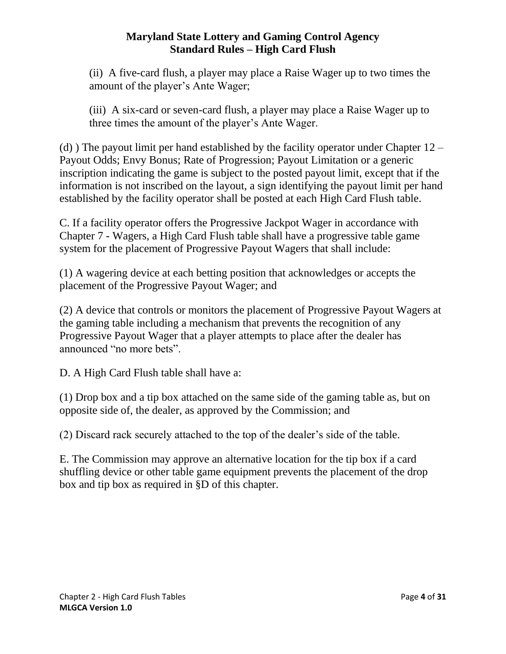(ii) A five-card flush, a player may place a Raise Wager up to two times the amount of the player's Ante Wager;

(iii) A six-card or seven-card flush, a player may place a Raise Wager up to three times the amount of the player's Ante Wager.

(d) The payout limit per hand established by the facility operator under Chapter  $12 -$ Payout Odds; Envy Bonus; Rate of Progression; Payout Limitation or a generic inscription indicating the game is subject to the posted payout limit, except that if the information is not inscribed on the layout, a sign identifying the payout limit per hand established by the facility operator shall be posted at each High Card Flush table.

C. If a facility operator offers the Progressive Jackpot Wager in accordance with Chapter 7 - Wagers, a High Card Flush table shall have a progressive table game system for the placement of Progressive Payout Wagers that shall include:

(1) A wagering device at each betting position that acknowledges or accepts the placement of the Progressive Payout Wager; and

(2) A device that controls or monitors the placement of Progressive Payout Wagers at the gaming table including a mechanism that prevents the recognition of any Progressive Payout Wager that a player attempts to place after the dealer has announced "no more bets".

D. A High Card Flush table shall have a:

(1) Drop box and a tip box attached on the same side of the gaming table as, but on opposite side of, the dealer, as approved by the Commission; and

(2) Discard rack securely attached to the top of the dealer's side of the table.

E. The Commission may approve an alternative location for the tip box if a card shuffling device or other table game equipment prevents the placement of the drop box and tip box as required in §D of this chapter.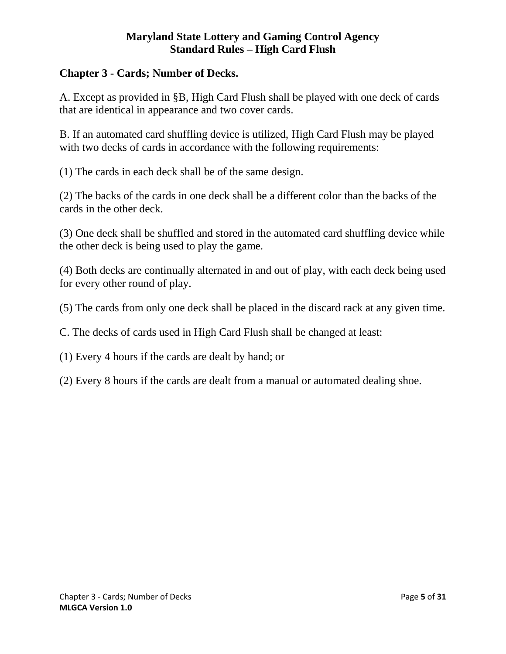# <span id="page-4-0"></span>**Chapter 3 - Cards; Number of Decks.**

A. Except as provided in §B, High Card Flush shall be played with one deck of cards that are identical in appearance and two cover cards.

B. If an automated card shuffling device is utilized, High Card Flush may be played with two decks of cards in accordance with the following requirements:

(1) The cards in each deck shall be of the same design.

(2) The backs of the cards in one deck shall be a different color than the backs of the cards in the other deck.

(3) One deck shall be shuffled and stored in the automated card shuffling device while the other deck is being used to play the game.

(4) Both decks are continually alternated in and out of play, with each deck being used for every other round of play.

(5) The cards from only one deck shall be placed in the discard rack at any given time.

C. The decks of cards used in High Card Flush shall be changed at least:

(1) Every 4 hours if the cards are dealt by hand; or

(2) Every 8 hours if the cards are dealt from a manual or automated dealing shoe.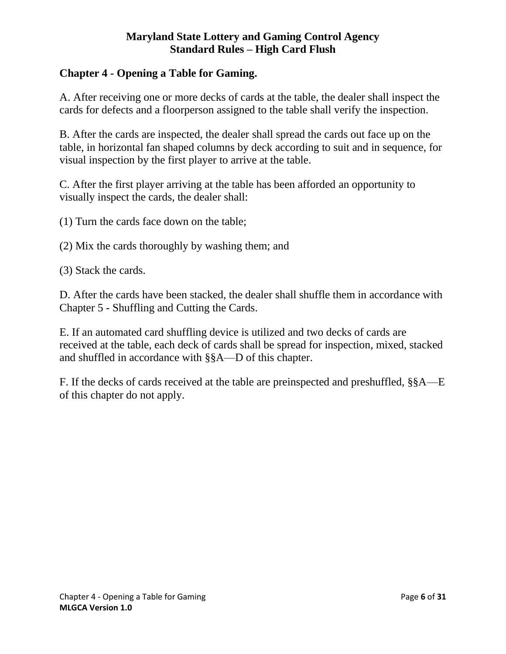# <span id="page-5-0"></span>**Chapter 4 - Opening a Table for Gaming.**

A. After receiving one or more decks of cards at the table, the dealer shall inspect the cards for defects and a floorperson assigned to the table shall verify the inspection.

B. After the cards are inspected, the dealer shall spread the cards out face up on the table, in horizontal fan shaped columns by deck according to suit and in sequence, for visual inspection by the first player to arrive at the table.

C. After the first player arriving at the table has been afforded an opportunity to visually inspect the cards, the dealer shall:

(1) Turn the cards face down on the table;

(2) Mix the cards thoroughly by washing them; and

(3) Stack the cards.

D. After the cards have been stacked, the dealer shall shuffle them in accordance with Chapter 5 - Shuffling and Cutting the Cards.

E. If an automated card shuffling device is utilized and two decks of cards are received at the table, each deck of cards shall be spread for inspection, mixed, stacked and shuffled in accordance with §§A—D of this chapter.

F. If the decks of cards received at the table are preinspected and preshuffled, §§A—E of this chapter do not apply.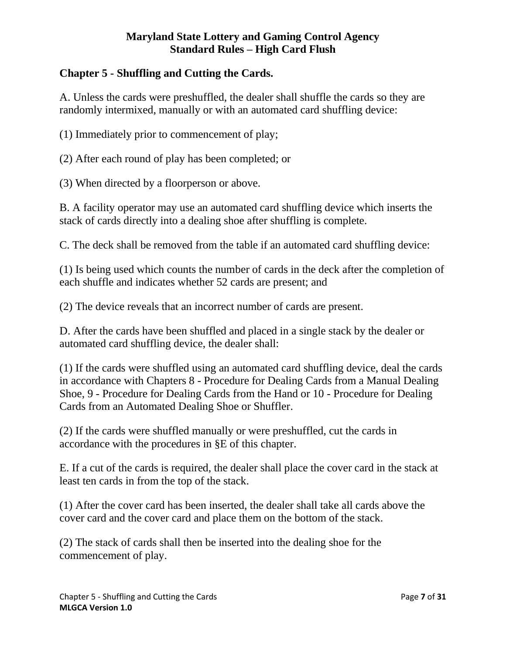# <span id="page-6-0"></span>**Chapter 5 - Shuffling and Cutting the Cards.**

A. Unless the cards were preshuffled, the dealer shall shuffle the cards so they are randomly intermixed, manually or with an automated card shuffling device:

(1) Immediately prior to commencement of play;

(2) After each round of play has been completed; or

(3) When directed by a floorperson or above.

B. A facility operator may use an automated card shuffling device which inserts the stack of cards directly into a dealing shoe after shuffling is complete.

C. The deck shall be removed from the table if an automated card shuffling device:

(1) Is being used which counts the number of cards in the deck after the completion of each shuffle and indicates whether 52 cards are present; and

(2) The device reveals that an incorrect number of cards are present.

D. After the cards have been shuffled and placed in a single stack by the dealer or automated card shuffling device, the dealer shall:

(1) If the cards were shuffled using an automated card shuffling device, deal the cards in accordance with Chapters 8 - Procedure for Dealing Cards from a Manual Dealing Shoe, 9 - Procedure for Dealing Cards from the Hand or 10 - Procedure for Dealing Cards from an Automated Dealing Shoe or Shuffler.

(2) If the cards were shuffled manually or were preshuffled, cut the cards in accordance with the procedures in §E of this chapter.

E. If a cut of the cards is required, the dealer shall place the cover card in the stack at least ten cards in from the top of the stack.

(1) After the cover card has been inserted, the dealer shall take all cards above the cover card and the cover card and place them on the bottom of the stack.

(2) The stack of cards shall then be inserted into the dealing shoe for the commencement of play.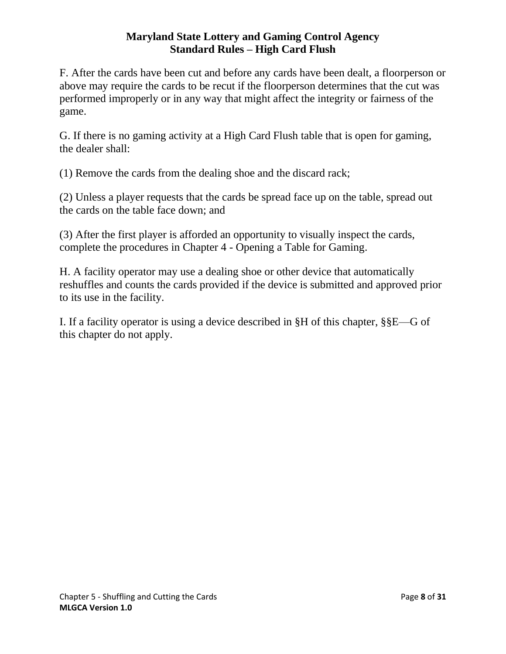F. After the cards have been cut and before any cards have been dealt, a floorperson or above may require the cards to be recut if the floorperson determines that the cut was performed improperly or in any way that might affect the integrity or fairness of the game.

G. If there is no gaming activity at a High Card Flush table that is open for gaming, the dealer shall:

(1) Remove the cards from the dealing shoe and the discard rack;

(2) Unless a player requests that the cards be spread face up on the table, spread out the cards on the table face down; and

(3) After the first player is afforded an opportunity to visually inspect the cards, complete the procedures in Chapter 4 - Opening a Table for Gaming.

H. A facility operator may use a dealing shoe or other device that automatically reshuffles and counts the cards provided if the device is submitted and approved prior to its use in the facility.

I. If a facility operator is using a device described in §H of this chapter, §§E—G of this chapter do not apply.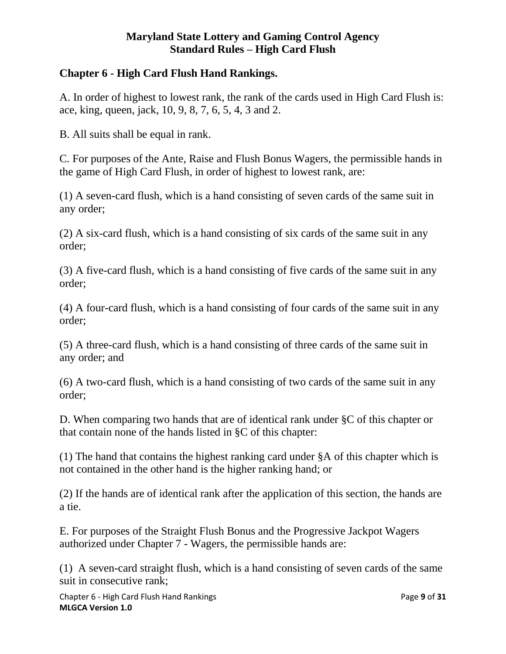# <span id="page-8-0"></span>**Chapter 6 - High Card Flush Hand Rankings.**

A. In order of highest to lowest rank, the rank of the cards used in High Card Flush is: ace, king, queen, jack, 10, 9, 8, 7, 6, 5, 4, 3 and 2.

B. All suits shall be equal in rank.

C. For purposes of the Ante, Raise and Flush Bonus Wagers, the permissible hands in the game of High Card Flush, in order of highest to lowest rank, are:

(1) A seven-card flush, which is a hand consisting of seven cards of the same suit in any order;

(2) A six-card flush, which is a hand consisting of six cards of the same suit in any order;

(3) A five-card flush, which is a hand consisting of five cards of the same suit in any order;

(4) A four-card flush, which is a hand consisting of four cards of the same suit in any order;

(5) A three-card flush, which is a hand consisting of three cards of the same suit in any order; and

(6) A two-card flush, which is a hand consisting of two cards of the same suit in any order;

D. When comparing two hands that are of identical rank under §C of this chapter or that contain none of the hands listed in §C of this chapter:

(1) The hand that contains the highest ranking card under §A of this chapter which is not contained in the other hand is the higher ranking hand; or

(2) If the hands are of identical rank after the application of this section, the hands are a tie.

E. For purposes of the Straight Flush Bonus and the Progressive Jackpot Wagers authorized under Chapter 7 - Wagers, the permissible hands are:

(1) A seven-card straight flush, which is a hand consisting of seven cards of the same suit in consecutive rank;

Chapter 6 - High Card Flush Hand Rankings Page **9** of **31 MLGCA Version 1.0**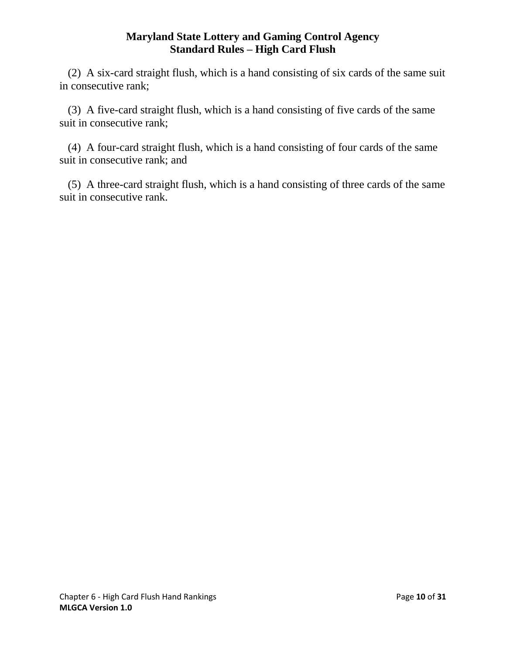(2) A six-card straight flush, which is a hand consisting of six cards of the same suit in consecutive rank;

 (3) A five-card straight flush, which is a hand consisting of five cards of the same suit in consecutive rank;

 (4) A four-card straight flush, which is a hand consisting of four cards of the same suit in consecutive rank; and

 (5) A three-card straight flush, which is a hand consisting of three cards of the same suit in consecutive rank.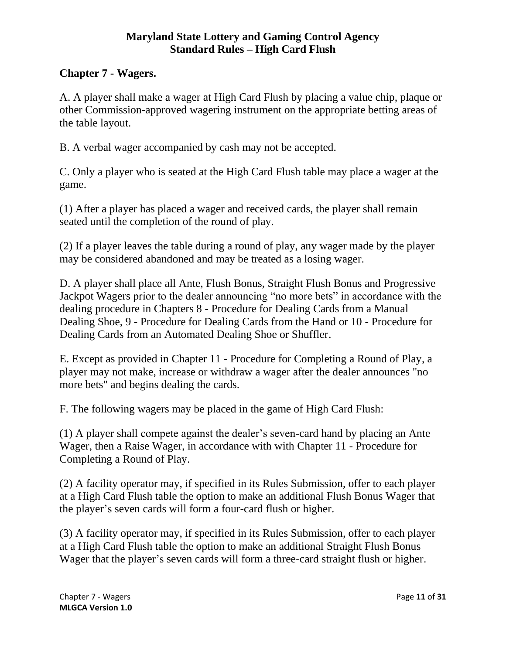# <span id="page-10-0"></span>**Chapter 7 - Wagers.**

A. A player shall make a wager at High Card Flush by placing a value chip, plaque or other Commission-approved wagering instrument on the appropriate betting areas of the table layout.

B. A verbal wager accompanied by cash may not be accepted.

C. Only a player who is seated at the High Card Flush table may place a wager at the game.

(1) After a player has placed a wager and received cards, the player shall remain seated until the completion of the round of play.

(2) If a player leaves the table during a round of play, any wager made by the player may be considered abandoned and may be treated as a losing wager.

D. A player shall place all Ante, Flush Bonus, Straight Flush Bonus and Progressive Jackpot Wagers prior to the dealer announcing "no more bets" in accordance with the dealing procedure in Chapters 8 - Procedure for Dealing Cards from a Manual Dealing Shoe, 9 - Procedure for Dealing Cards from the Hand or 10 - Procedure for Dealing Cards from an Automated Dealing Shoe or Shuffler.

E. Except as provided in Chapter 11 - Procedure for Completing a Round of Play, a player may not make, increase or withdraw a wager after the dealer announces "no more bets" and begins dealing the cards.

F. The following wagers may be placed in the game of High Card Flush:

(1) A player shall compete against the dealer's seven-card hand by placing an Ante Wager, then a Raise Wager, in accordance with with Chapter 11 - Procedure for Completing a Round of Play.

(2) A facility operator may, if specified in its Rules Submission, offer to each player at a High Card Flush table the option to make an additional Flush Bonus Wager that the player's seven cards will form a four-card flush or higher.

(3) A facility operator may, if specified in its Rules Submission, offer to each player at a High Card Flush table the option to make an additional Straight Flush Bonus Wager that the player's seven cards will form a three-card straight flush or higher.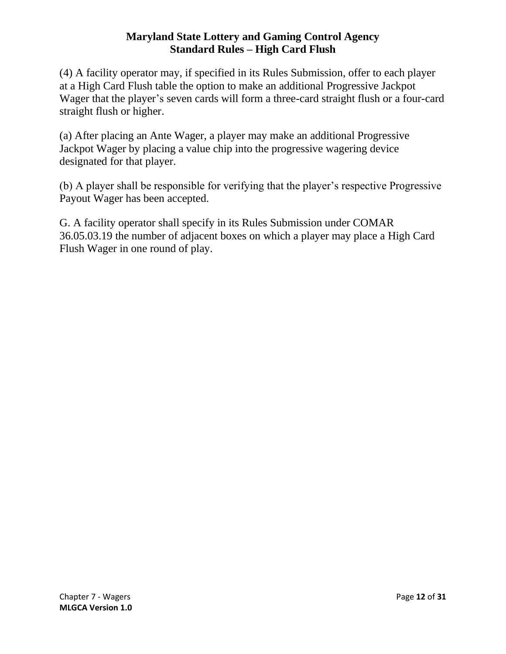(4) A facility operator may, if specified in its Rules Submission, offer to each player at a High Card Flush table the option to make an additional Progressive Jackpot Wager that the player's seven cards will form a three-card straight flush or a four-card straight flush or higher.

(a) After placing an Ante Wager, a player may make an additional Progressive Jackpot Wager by placing a value chip into the progressive wagering device designated for that player.

(b) A player shall be responsible for verifying that the player's respective Progressive Payout Wager has been accepted.

G. A facility operator shall specify in its Rules Submission under COMAR 36.05.03.19 the number of adjacent boxes on which a player may place a High Card Flush Wager in one round of play.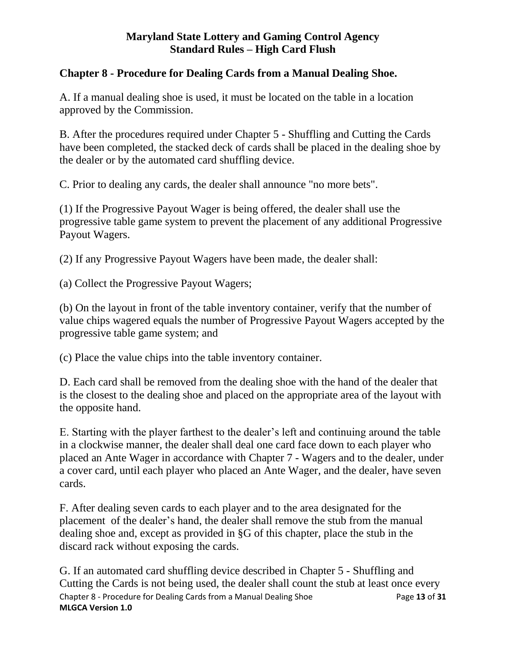# <span id="page-12-0"></span>**Chapter 8 - Procedure for Dealing Cards from a Manual Dealing Shoe.**

A. If a manual dealing shoe is used, it must be located on the table in a location approved by the Commission.

B. After the procedures required under Chapter 5 - Shuffling and Cutting the Cards have been completed, the stacked deck of cards shall be placed in the dealing shoe by the dealer or by the automated card shuffling device.

C. Prior to dealing any cards, the dealer shall announce "no more bets".

(1) If the Progressive Payout Wager is being offered, the dealer shall use the progressive table game system to prevent the placement of any additional Progressive Payout Wagers.

(2) If any Progressive Payout Wagers have been made, the dealer shall:

(a) Collect the Progressive Payout Wagers;

(b) On the layout in front of the table inventory container, verify that the number of value chips wagered equals the number of Progressive Payout Wagers accepted by the progressive table game system; and

(c) Place the value chips into the table inventory container.

D. Each card shall be removed from the dealing shoe with the hand of the dealer that is the closest to the dealing shoe and placed on the appropriate area of the layout with the opposite hand.

E. Starting with the player farthest to the dealer's left and continuing around the table in a clockwise manner, the dealer shall deal one card face down to each player who placed an Ante Wager in accordance with Chapter 7 - Wagers and to the dealer, under a cover card, until each player who placed an Ante Wager, and the dealer, have seven cards.

F. After dealing seven cards to each player and to the area designated for the placement of the dealer's hand, the dealer shall remove the stub from the manual dealing shoe and, except as provided in §G of this chapter, place the stub in the discard rack without exposing the cards.

Chapter 8 - Procedure for Dealing Cards from a Manual Dealing Shoe Page **13** of **31 MLGCA Version 1.0** G. If an automated card shuffling device described in Chapter 5 - Shuffling and Cutting the Cards is not being used, the dealer shall count the stub at least once every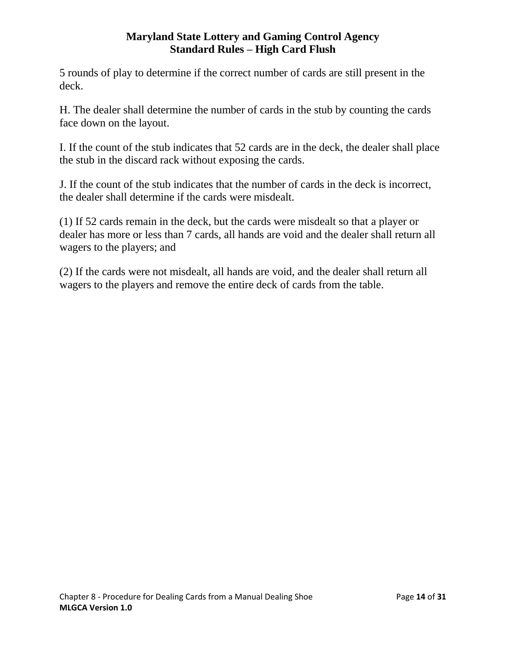5 rounds of play to determine if the correct number of cards are still present in the deck.

H. The dealer shall determine the number of cards in the stub by counting the cards face down on the layout.

I. If the count of the stub indicates that 52 cards are in the deck, the dealer shall place the stub in the discard rack without exposing the cards.

J. If the count of the stub indicates that the number of cards in the deck is incorrect, the dealer shall determine if the cards were misdealt.

(1) If 52 cards remain in the deck, but the cards were misdealt so that a player or dealer has more or less than 7 cards, all hands are void and the dealer shall return all wagers to the players; and

(2) If the cards were not misdealt, all hands are void, and the dealer shall return all wagers to the players and remove the entire deck of cards from the table.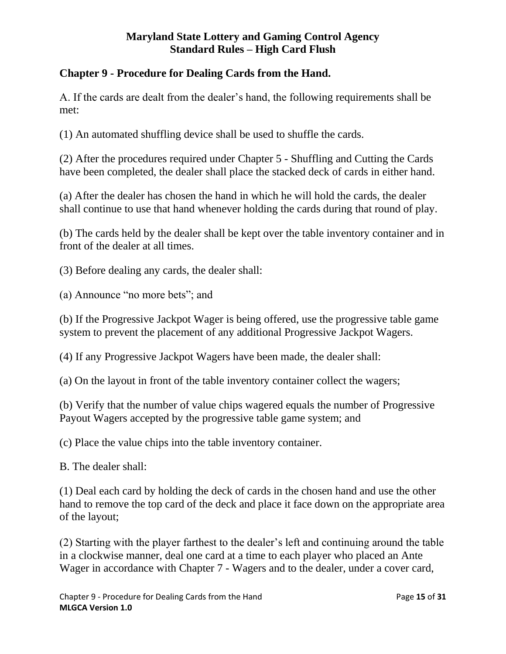# <span id="page-14-0"></span>**Chapter 9 - Procedure for Dealing Cards from the Hand.**

A. If the cards are dealt from the dealer's hand, the following requirements shall be met:

(1) An automated shuffling device shall be used to shuffle the cards.

(2) After the procedures required under Chapter 5 - Shuffling and Cutting the Cards have been completed, the dealer shall place the stacked deck of cards in either hand.

(a) After the dealer has chosen the hand in which he will hold the cards, the dealer shall continue to use that hand whenever holding the cards during that round of play.

(b) The cards held by the dealer shall be kept over the table inventory container and in front of the dealer at all times.

(3) Before dealing any cards, the dealer shall:

(a) Announce "no more bets"; and

(b) If the Progressive Jackpot Wager is being offered, use the progressive table game system to prevent the placement of any additional Progressive Jackpot Wagers.

(4) If any Progressive Jackpot Wagers have been made, the dealer shall:

(a) On the layout in front of the table inventory container collect the wagers;

(b) Verify that the number of value chips wagered equals the number of Progressive Payout Wagers accepted by the progressive table game system; and

(c) Place the value chips into the table inventory container.

B. The dealer shall:

(1) Deal each card by holding the deck of cards in the chosen hand and use the other hand to remove the top card of the deck and place it face down on the appropriate area of the layout;

(2) Starting with the player farthest to the dealer's left and continuing around the table in a clockwise manner, deal one card at a time to each player who placed an Ante Wager in accordance with Chapter 7 - Wagers and to the dealer, under a cover card,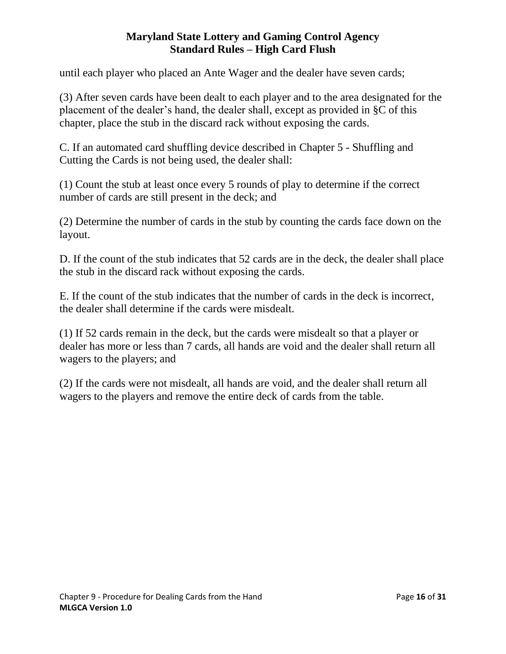until each player who placed an Ante Wager and the dealer have seven cards;

(3) After seven cards have been dealt to each player and to the area designated for the placement of the dealer's hand, the dealer shall, except as provided in §C of this chapter, place the stub in the discard rack without exposing the cards.

C. If an automated card shuffling device described in Chapter 5 - Shuffling and Cutting the Cards is not being used, the dealer shall:

(1) Count the stub at least once every 5 rounds of play to determine if the correct number of cards are still present in the deck; and

(2) Determine the number of cards in the stub by counting the cards face down on the layout.

D. If the count of the stub indicates that 52 cards are in the deck, the dealer shall place the stub in the discard rack without exposing the cards.

E. If the count of the stub indicates that the number of cards in the deck is incorrect, the dealer shall determine if the cards were misdealt.

(1) If 52 cards remain in the deck, but the cards were misdealt so that a player or dealer has more or less than 7 cards, all hands are void and the dealer shall return all wagers to the players; and

(2) If the cards were not misdealt, all hands are void, and the dealer shall return all wagers to the players and remove the entire deck of cards from the table.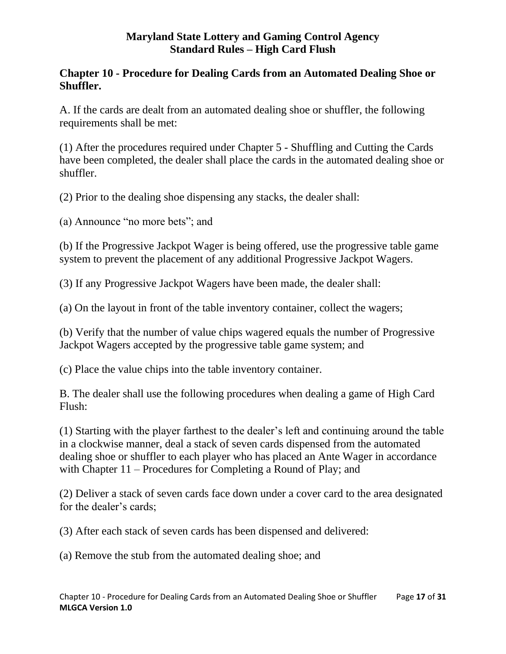# <span id="page-16-0"></span>**Chapter 10 - Procedure for Dealing Cards from an Automated Dealing Shoe or Shuffler.**

A. If the cards are dealt from an automated dealing shoe or shuffler, the following requirements shall be met:

(1) After the procedures required under Chapter 5 - Shuffling and Cutting the Cards have been completed, the dealer shall place the cards in the automated dealing shoe or shuffler.

(2) Prior to the dealing shoe dispensing any stacks, the dealer shall:

(a) Announce "no more bets"; and

(b) If the Progressive Jackpot Wager is being offered, use the progressive table game system to prevent the placement of any additional Progressive Jackpot Wagers.

(3) If any Progressive Jackpot Wagers have been made, the dealer shall:

(a) On the layout in front of the table inventory container, collect the wagers;

(b) Verify that the number of value chips wagered equals the number of Progressive Jackpot Wagers accepted by the progressive table game system; and

(c) Place the value chips into the table inventory container.

B. The dealer shall use the following procedures when dealing a game of High Card Flush:

(1) Starting with the player farthest to the dealer's left and continuing around the table in a clockwise manner, deal a stack of seven cards dispensed from the automated dealing shoe or shuffler to each player who has placed an Ante Wager in accordance with Chapter 11 – Procedures for Completing a Round of Play; and

(2) Deliver a stack of seven cards face down under a cover card to the area designated for the dealer's cards;

(3) After each stack of seven cards has been dispensed and delivered:

(a) Remove the stub from the automated dealing shoe; and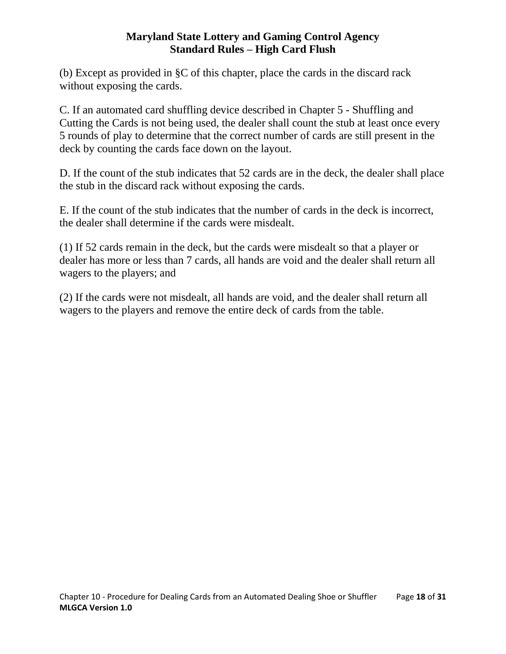(b) Except as provided in §C of this chapter, place the cards in the discard rack without exposing the cards.

C. If an automated card shuffling device described in Chapter 5 - Shuffling and Cutting the Cards is not being used, the dealer shall count the stub at least once every 5 rounds of play to determine that the correct number of cards are still present in the deck by counting the cards face down on the layout.

D. If the count of the stub indicates that 52 cards are in the deck, the dealer shall place the stub in the discard rack without exposing the cards.

E. If the count of the stub indicates that the number of cards in the deck is incorrect, the dealer shall determine if the cards were misdealt.

(1) If 52 cards remain in the deck, but the cards were misdealt so that a player or dealer has more or less than 7 cards, all hands are void and the dealer shall return all wagers to the players; and

(2) If the cards were not misdealt, all hands are void, and the dealer shall return all wagers to the players and remove the entire deck of cards from the table.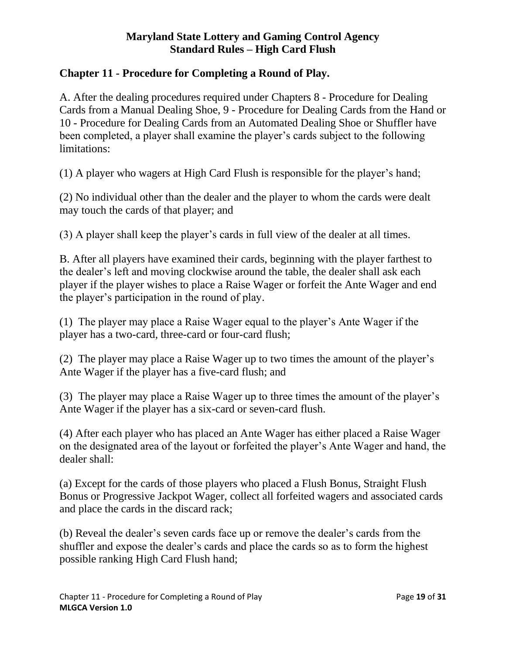# <span id="page-18-0"></span>**Chapter 11 - Procedure for Completing a Round of Play.**

A. After the dealing procedures required under Chapters 8 - Procedure for Dealing Cards from a Manual Dealing Shoe, 9 - Procedure for Dealing Cards from the Hand or 10 - Procedure for Dealing Cards from an Automated Dealing Shoe or Shuffler have been completed, a player shall examine the player's cards subject to the following limitations:

(1) A player who wagers at High Card Flush is responsible for the player's hand;

(2) No individual other than the dealer and the player to whom the cards were dealt may touch the cards of that player; and

(3) A player shall keep the player's cards in full view of the dealer at all times.

B. After all players have examined their cards, beginning with the player farthest to the dealer's left and moving clockwise around the table, the dealer shall ask each player if the player wishes to place a Raise Wager or forfeit the Ante Wager and end the player's participation in the round of play.

(1) The player may place a Raise Wager equal to the player's Ante Wager if the player has a two-card, three-card or four-card flush;

(2) The player may place a Raise Wager up to two times the amount of the player's Ante Wager if the player has a five-card flush; and

(3) The player may place a Raise Wager up to three times the amount of the player's Ante Wager if the player has a six-card or seven-card flush.

(4) After each player who has placed an Ante Wager has either placed a Raise Wager on the designated area of the layout or forfeited the player's Ante Wager and hand, the dealer shall:

(a) Except for the cards of those players who placed a Flush Bonus, Straight Flush Bonus or Progressive Jackpot Wager, collect all forfeited wagers and associated cards and place the cards in the discard rack;

(b) Reveal the dealer's seven cards face up or remove the dealer's cards from the shuffler and expose the dealer's cards and place the cards so as to form the highest possible ranking High Card Flush hand;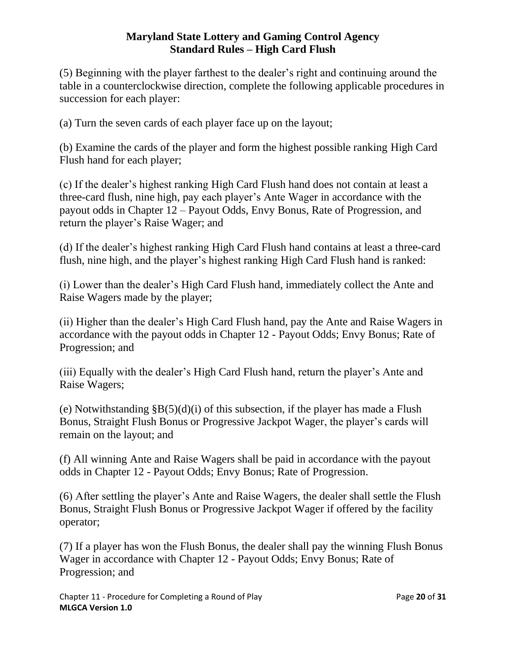(5) Beginning with the player farthest to the dealer's right and continuing around the table in a counterclockwise direction, complete the following applicable procedures in succession for each player:

(a) Turn the seven cards of each player face up on the layout;

(b) Examine the cards of the player and form the highest possible ranking High Card Flush hand for each player;

(c) If the dealer's highest ranking High Card Flush hand does not contain at least a three-card flush, nine high, pay each player's Ante Wager in accordance with the payout odds in Chapter 12 – Payout Odds, Envy Bonus, Rate of Progression, and return the player's Raise Wager; and

(d) If the dealer's highest ranking High Card Flush hand contains at least a three-card flush, nine high, and the player's highest ranking High Card Flush hand is ranked:

(i) Lower than the dealer's High Card Flush hand, immediately collect the Ante and Raise Wagers made by the player;

(ii) Higher than the dealer's High Card Flush hand, pay the Ante and Raise Wagers in accordance with the payout odds in Chapter 12 - Payout Odds; Envy Bonus; Rate of Progression; and

(iii) Equally with the dealer's High Card Flush hand, return the player's Ante and Raise Wagers;

(e) Notwithstanding  $\S B(5)(d)(i)$  of this subsection, if the player has made a Flush Bonus, Straight Flush Bonus or Progressive Jackpot Wager, the player's cards will remain on the layout; and

(f) All winning Ante and Raise Wagers shall be paid in accordance with the payout odds in Chapter 12 - Payout Odds; Envy Bonus; Rate of Progression.

(6) After settling the player's Ante and Raise Wagers, the dealer shall settle the Flush Bonus, Straight Flush Bonus or Progressive Jackpot Wager if offered by the facility operator;

(7) If a player has won the Flush Bonus, the dealer shall pay the winning Flush Bonus Wager in accordance with Chapter 12 - Payout Odds; Envy Bonus; Rate of Progression; and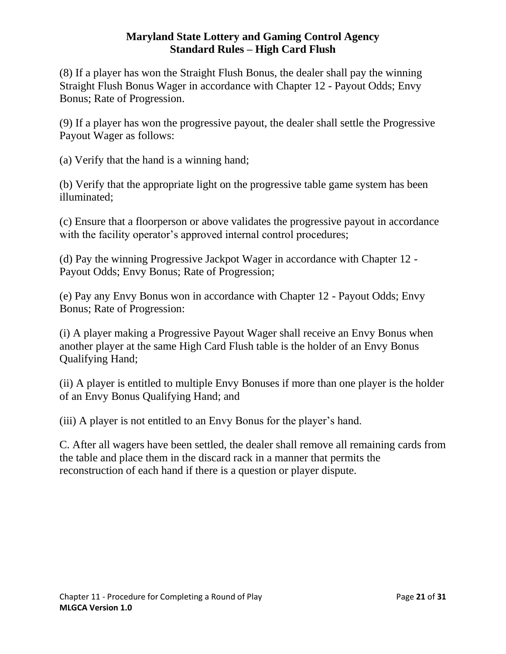(8) If a player has won the Straight Flush Bonus, the dealer shall pay the winning Straight Flush Bonus Wager in accordance with Chapter 12 - Payout Odds; Envy Bonus; Rate of Progression.

(9) If a player has won the progressive payout, the dealer shall settle the Progressive Payout Wager as follows:

(a) Verify that the hand is a winning hand;

(b) Verify that the appropriate light on the progressive table game system has been illuminated;

(c) Ensure that a floorperson or above validates the progressive payout in accordance with the facility operator's approved internal control procedures;

(d) Pay the winning Progressive Jackpot Wager in accordance with Chapter 12 - Payout Odds; Envy Bonus; Rate of Progression;

(e) Pay any Envy Bonus won in accordance with Chapter 12 - Payout Odds; Envy Bonus; Rate of Progression:

(i) A player making a Progressive Payout Wager shall receive an Envy Bonus when another player at the same High Card Flush table is the holder of an Envy Bonus Qualifying Hand;

(ii) A player is entitled to multiple Envy Bonuses if more than one player is the holder of an Envy Bonus Qualifying Hand; and

(iii) A player is not entitled to an Envy Bonus for the player's hand.

C. After all wagers have been settled, the dealer shall remove all remaining cards from the table and place them in the discard rack in a manner that permits the reconstruction of each hand if there is a question or player dispute.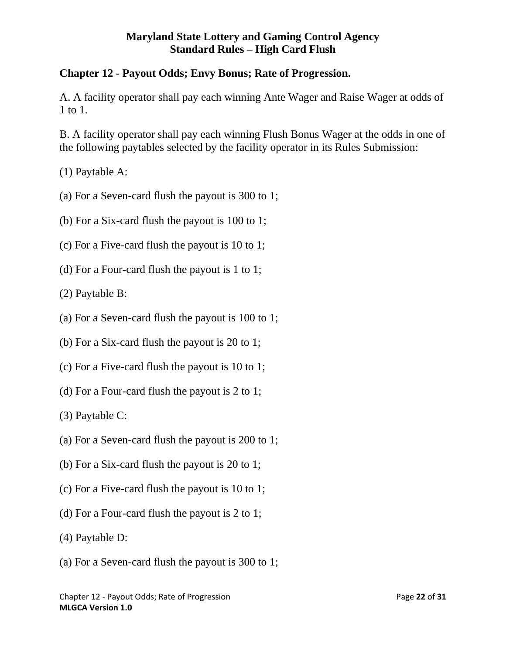# <span id="page-21-0"></span>**Chapter 12 - Payout Odds; Envy Bonus; Rate of Progression.**

A. A facility operator shall pay each winning Ante Wager and Raise Wager at odds of 1 to 1.

B. A facility operator shall pay each winning Flush Bonus Wager at the odds in one of the following paytables selected by the facility operator in its Rules Submission:

(1) Paytable A:

- (a) For a Seven-card flush the payout is 300 to 1;
- (b) For a Six-card flush the payout is 100 to 1;
- (c) For a Five-card flush the payout is 10 to 1;
- (d) For a Four-card flush the payout is 1 to 1;

(2) Paytable B:

- (a) For a Seven-card flush the payout is 100 to 1;
- (b) For a Six-card flush the payout is 20 to 1;
- (c) For a Five-card flush the payout is 10 to 1;
- (d) For a Four-card flush the payout is 2 to 1;

(3) Paytable C:

- (a) For a Seven-card flush the payout is 200 to 1;
- (b) For a Six-card flush the payout is 20 to 1;
- (c) For a Five-card flush the payout is 10 to 1;
- (d) For a Four-card flush the payout is 2 to 1;
- (4) Paytable D:
- (a) For a Seven-card flush the payout is 300 to 1;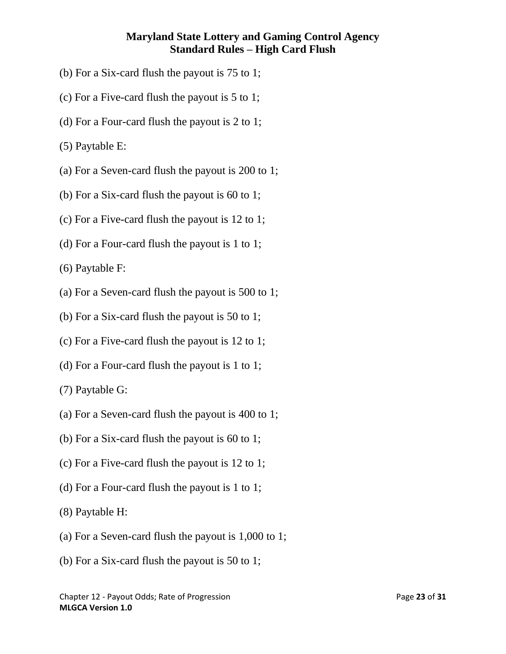- (b) For a Six-card flush the payout is 75 to 1;
- (c) For a Five-card flush the payout is 5 to 1;
- (d) For a Four-card flush the payout is 2 to 1;
- (5) Paytable E:
- (a) For a Seven-card flush the payout is 200 to 1;
- (b) For a Six-card flush the payout is 60 to 1;
- (c) For a Five-card flush the payout is 12 to 1;
- (d) For a Four-card flush the payout is 1 to 1;

(6) Paytable F:

- (a) For a Seven-card flush the payout is 500 to 1;
- (b) For a Six-card flush the payout is 50 to 1;
- (c) For a Five-card flush the payout is 12 to 1;
- (d) For a Four-card flush the payout is 1 to 1;

(7) Paytable G:

- (a) For a Seven-card flush the payout is 400 to 1;
- (b) For a Six-card flush the payout is 60 to 1;
- (c) For a Five-card flush the payout is 12 to 1;
- (d) For a Four-card flush the payout is 1 to 1;
- (8) Paytable H:
- (a) For a Seven-card flush the payout is 1,000 to 1;
- (b) For a Six-card flush the payout is 50 to 1;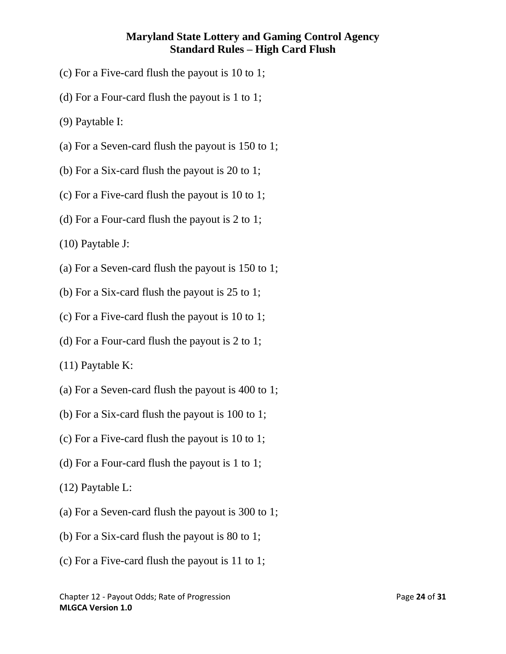- (c) For a Five-card flush the payout is 10 to 1;
- (d) For a Four-card flush the payout is 1 to 1;
- (9) Paytable I:
- (a) For a Seven-card flush the payout is 150 to 1;
- (b) For a Six-card flush the payout is 20 to 1;
- (c) For a Five-card flush the payout is 10 to 1;
- (d) For a Four-card flush the payout is 2 to 1;

(10) Paytable J:

- (a) For a Seven-card flush the payout is 150 to 1;
- (b) For a Six-card flush the payout is 25 to 1;
- (c) For a Five-card flush the payout is 10 to 1;
- (d) For a Four-card flush the payout is 2 to 1;

(11) Paytable K:

- (a) For a Seven-card flush the payout is 400 to 1;
- (b) For a Six-card flush the payout is 100 to 1;
- (c) For a Five-card flush the payout is 10 to 1;
- (d) For a Four-card flush the payout is 1 to 1;

(12) Paytable L:

- (a) For a Seven-card flush the payout is 300 to 1;
- (b) For a Six-card flush the payout is 80 to 1;
- (c) For a Five-card flush the payout is 11 to 1;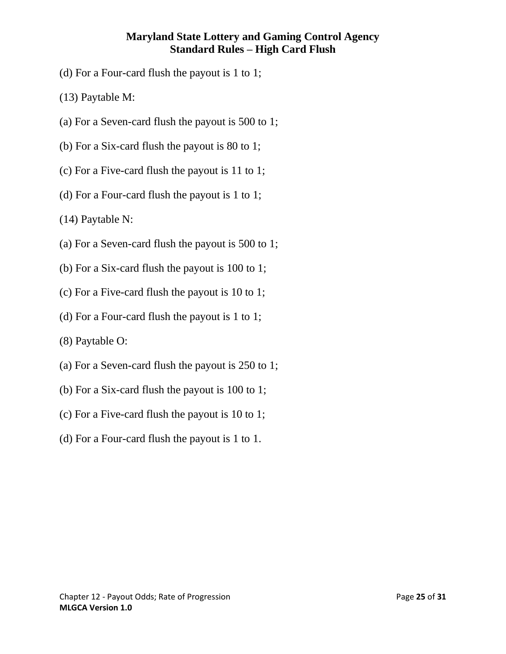- (d) For a Four-card flush the payout is 1 to 1;
- (13) Paytable M:
- (a) For a Seven-card flush the payout is 500 to 1;
- (b) For a Six-card flush the payout is 80 to 1;
- (c) For a Five-card flush the payout is 11 to 1;
- (d) For a Four-card flush the payout is 1 to 1;
- (14) Paytable N:
- (a) For a Seven-card flush the payout is 500 to 1;
- (b) For a Six-card flush the payout is 100 to 1;
- (c) For a Five-card flush the payout is 10 to 1;
- (d) For a Four-card flush the payout is 1 to 1;
- (8) Paytable O:
- (a) For a Seven-card flush the payout is 250 to 1;
- (b) For a Six-card flush the payout is 100 to 1;
- (c) For a Five-card flush the payout is 10 to 1;
- (d) For a Four-card flush the payout is 1 to 1.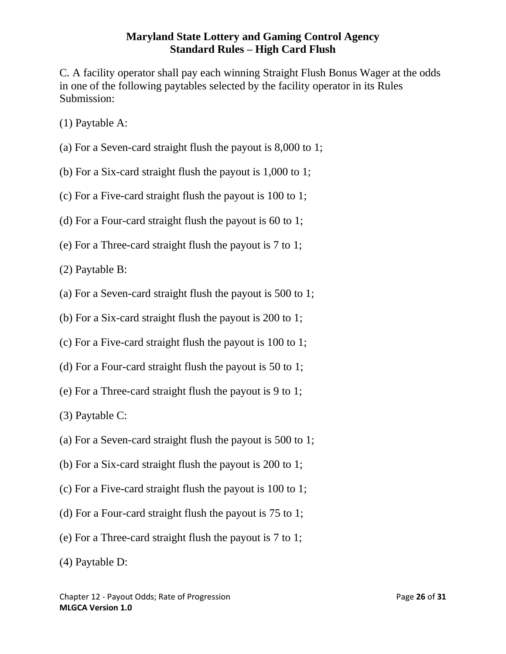C. A facility operator shall pay each winning Straight Flush Bonus Wager at the odds in one of the following paytables selected by the facility operator in its Rules Submission:

- (1) Paytable A:
- (a) For a Seven-card straight flush the payout is 8,000 to 1;
- (b) For a Six-card straight flush the payout is 1,000 to 1;
- (c) For a Five-card straight flush the payout is 100 to 1;
- (d) For a Four-card straight flush the payout is 60 to 1;
- (e) For a Three-card straight flush the payout is 7 to 1;
- (2) Paytable B:
- (a) For a Seven-card straight flush the payout is 500 to 1;
- (b) For a Six-card straight flush the payout is 200 to 1;
- (c) For a Five-card straight flush the payout is 100 to 1;
- (d) For a Four-card straight flush the payout is 50 to 1;
- (e) For a Three-card straight flush the payout is 9 to 1;
- (3) Paytable C:
- (a) For a Seven-card straight flush the payout is 500 to 1;
- (b) For a Six-card straight flush the payout is 200 to 1;
- (c) For a Five-card straight flush the payout is 100 to 1;
- (d) For a Four-card straight flush the payout is 75 to 1;
- (e) For a Three-card straight flush the payout is 7 to 1;
- (4) Paytable D: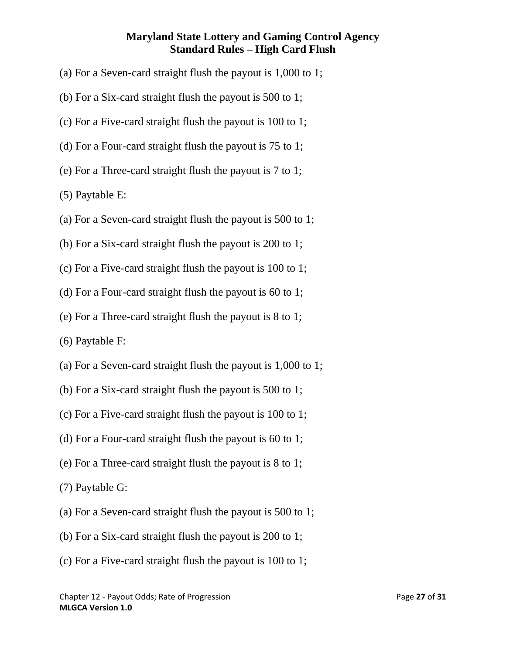- (a) For a Seven-card straight flush the payout is 1,000 to 1;
- (b) For a Six-card straight flush the payout is 500 to 1;
- (c) For a Five-card straight flush the payout is 100 to 1;
- (d) For a Four-card straight flush the payout is 75 to 1;
- (e) For a Three-card straight flush the payout is 7 to 1;
- (5) Paytable E:
- (a) For a Seven-card straight flush the payout is 500 to 1;
- (b) For a Six-card straight flush the payout is 200 to 1;
- (c) For a Five-card straight flush the payout is 100 to 1;
- (d) For a Four-card straight flush the payout is 60 to 1;
- (e) For a Three-card straight flush the payout is 8 to 1;
- (6) Paytable F:
- (a) For a Seven-card straight flush the payout is 1,000 to 1;
- (b) For a Six-card straight flush the payout is 500 to 1;
- (c) For a Five-card straight flush the payout is 100 to 1;
- (d) For a Four-card straight flush the payout is 60 to 1;
- (e) For a Three-card straight flush the payout is 8 to 1;
- (7) Paytable G:
- (a) For a Seven-card straight flush the payout is 500 to 1;
- (b) For a Six-card straight flush the payout is 200 to 1;
- (c) For a Five-card straight flush the payout is 100 to 1;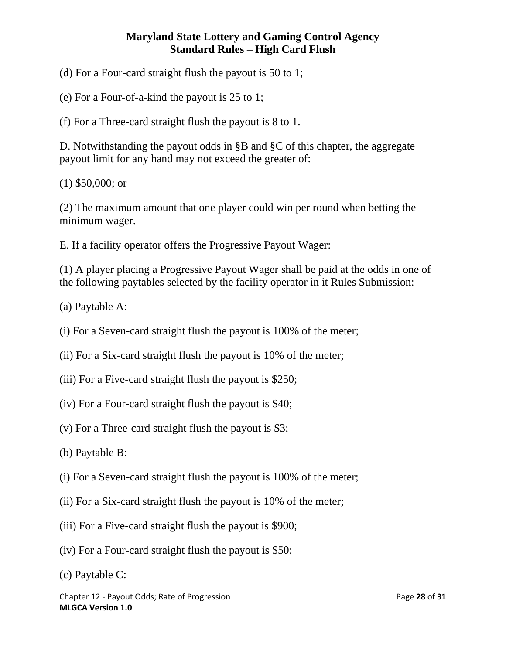(d) For a Four-card straight flush the payout is 50 to 1;

(e) For a Four-of-a-kind the payout is 25 to 1;

(f) For a Three-card straight flush the payout is 8 to 1.

D. Notwithstanding the payout odds in §B and §C of this chapter, the aggregate payout limit for any hand may not exceed the greater of:

(1) \$50,000; or

(2) The maximum amount that one player could win per round when betting the minimum wager.

E. If a facility operator offers the Progressive Payout Wager:

(1) A player placing a Progressive Payout Wager shall be paid at the odds in one of the following paytables selected by the facility operator in it Rules Submission:

(a) Paytable A:

(i) For a Seven-card straight flush the payout is 100% of the meter;

(ii) For a Six-card straight flush the payout is 10% of the meter;

- (iii) For a Five-card straight flush the payout is \$250;
- (iv) For a Four-card straight flush the payout is \$40;
- (v) For a Three-card straight flush the payout is \$3;
- (b) Paytable B:
- (i) For a Seven-card straight flush the payout is 100% of the meter;
- (ii) For a Six-card straight flush the payout is 10% of the meter;
- (iii) For a Five-card straight flush the payout is \$900;
- (iv) For a Four-card straight flush the payout is \$50;
- (c) Paytable C: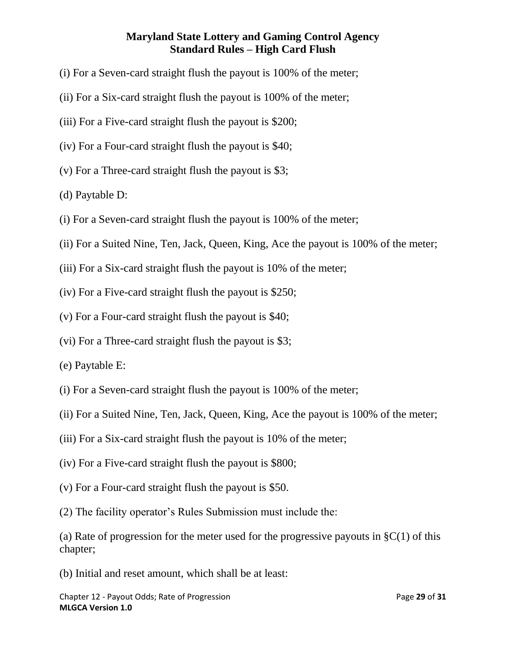- (i) For a Seven-card straight flush the payout is 100% of the meter;
- (ii) For a Six-card straight flush the payout is 100% of the meter;
- (iii) For a Five-card straight flush the payout is \$200;
- (iv) For a Four-card straight flush the payout is \$40;
- (v) For a Three-card straight flush the payout is \$3;
- (d) Paytable D:
- (i) For a Seven-card straight flush the payout is 100% of the meter;
- (ii) For a Suited Nine, Ten, Jack, Queen, King, Ace the payout is 100% of the meter;
- (iii) For a Six-card straight flush the payout is 10% of the meter;
- (iv) For a Five-card straight flush the payout is \$250;
- (v) For a Four-card straight flush the payout is \$40;
- (vi) For a Three-card straight flush the payout is \$3;
- (e) Paytable E:
- (i) For a Seven-card straight flush the payout is 100% of the meter;
- (ii) For a Suited Nine, Ten, Jack, Queen, King, Ace the payout is 100% of the meter;
- (iii) For a Six-card straight flush the payout is 10% of the meter;
- (iv) For a Five-card straight flush the payout is \$800;
- (v) For a Four-card straight flush the payout is \$50.
- (2) The facility operator's Rules Submission must include the:

(a) Rate of progression for the meter used for the progressive payouts in  $\S C(1)$  of this chapter;

(b) Initial and reset amount, which shall be at least: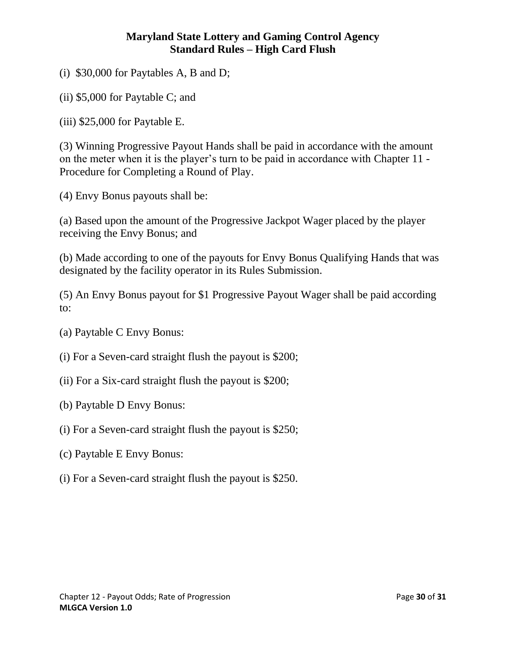(i) \$30,000 for Paytables A, B and D;

(ii) \$5,000 for Paytable C; and

(iii) \$25,000 for Paytable E.

(3) Winning Progressive Payout Hands shall be paid in accordance with the amount on the meter when it is the player's turn to be paid in accordance with Chapter 11 - Procedure for Completing a Round of Play.

(4) Envy Bonus payouts shall be:

(a) Based upon the amount of the Progressive Jackpot Wager placed by the player receiving the Envy Bonus; and

(b) Made according to one of the payouts for Envy Bonus Qualifying Hands that was designated by the facility operator in its Rules Submission.

(5) An Envy Bonus payout for \$1 Progressive Payout Wager shall be paid according to:

(a) Paytable C Envy Bonus:

(i) For a Seven-card straight flush the payout is \$200;

- (ii) For a Six-card straight flush the payout is \$200;
- (b) Paytable D Envy Bonus:
- (i) For a Seven-card straight flush the payout is \$250;
- (c) Paytable E Envy Bonus:
- (i) For a Seven-card straight flush the payout is \$250.